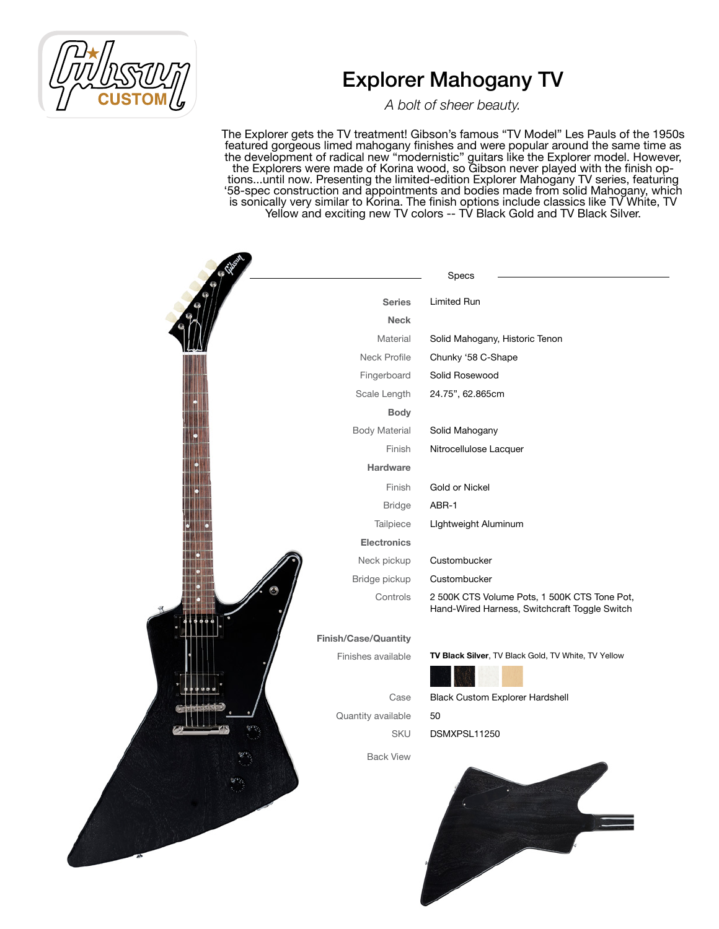*A bolt of sheer beauty.*

|  |                             | Specs                                                                                         |
|--|-----------------------------|-----------------------------------------------------------------------------------------------|
|  | <b>Series</b>               | Limited Run                                                                                   |
|  | <b>Neck</b>                 |                                                                                               |
|  | Material                    | Solid Mahogany, Historic Tenon                                                                |
|  | Neck Profile                | Chunky '58 C-Shape                                                                            |
|  | Fingerboard                 | Solid Rosewood                                                                                |
|  | Scale Length                | 24.75", 62.865cm                                                                              |
|  | <b>Body</b>                 |                                                                                               |
|  | <b>Body Material</b>        | Solid Mahogany                                                                                |
|  | Finish                      | Nitrocellulose Lacquer                                                                        |
|  | Hardware                    |                                                                                               |
|  | Finish                      | <b>Gold or Nickel</b>                                                                         |
|  | <b>Bridge</b>               | ABR-1                                                                                         |
|  | Tailpiece                   | Lightweight Aluminum                                                                          |
|  | <b>Electronics</b>          |                                                                                               |
|  | Neck pickup                 | Custombucker                                                                                  |
|  | Bridge pickup               | Custombucker                                                                                  |
|  | Controls                    | 2 500K CTS Volume Pots, 1 500K CTS Tone Pot,<br>Hand-Wired Harness, Switchcraft Toggle Switch |
|  | <b>Finish/Case/Quantity</b> |                                                                                               |
|  | Finishes available          | TV Black Silver, TV Black Gold, TV White, TV Yellow                                           |
|  | Case                        | <b>Black Custom Explorer Hardshell</b>                                                        |
|  | Quantity available          | 50                                                                                            |
|  | SKU                         | DSMXPSL11250                                                                                  |
|  | <b>Back View</b>            |                                                                                               |
|  |                             |                                                                                               |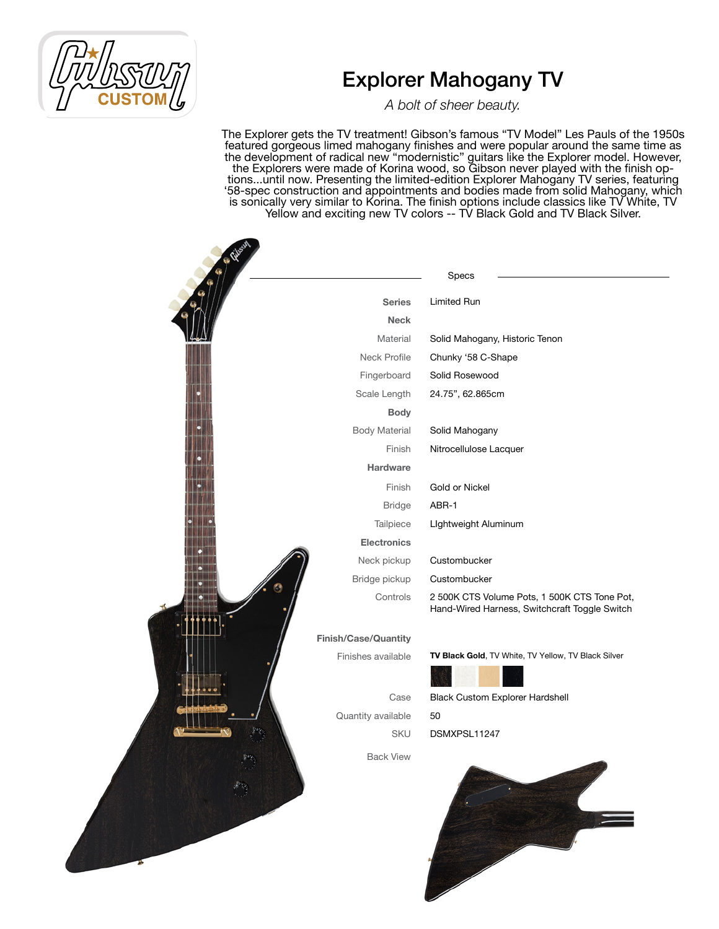*A bolt of sheer beauty.*

|                      | Specs                                                                                         |
|----------------------|-----------------------------------------------------------------------------------------------|
| <b>Series</b>        | Limited Run                                                                                   |
| <b>Neck</b>          |                                                                                               |
| Material             | Solid Mahogany, Historic Tenon                                                                |
| Neck Profile         | Chunky '58 C-Shape                                                                            |
| Fingerboard          | Solid Rosewood                                                                                |
| Scale Length         | 24.75", 62.865cm                                                                              |
| <b>Body</b>          |                                                                                               |
| <b>Body Material</b> | Solid Mahogany                                                                                |
| Finish               | Nitrocellulose Lacquer                                                                        |
| Hardware             |                                                                                               |
| Finish               | Gold or Nickel                                                                                |
| <b>Bridge</b>        | ABR-1                                                                                         |
| Tailpiece            | Lightweight Aluminum                                                                          |
| <b>Electronics</b>   |                                                                                               |
| Neck pickup          | Custombucker                                                                                  |
| Bridge pickup        | Custombucker                                                                                  |
| Controls             | 2 500K CTS Volume Pots, 1 500K CTS Tone Pot,<br>Hand-Wired Harness, Switchcraft Toggle Switch |
| Finish/Case/Quantity |                                                                                               |
| Finishes available   | TV Black Gold, TV White, TV Yellow, TV Black Silver                                           |
| Case                 | <b>Black Custom Explorer Hardshell</b>                                                        |
| Quantity available   | 50                                                                                            |
| SKU                  | DSMXPSL11247                                                                                  |
| <b>Back View</b>     |                                                                                               |
|                      |                                                                                               |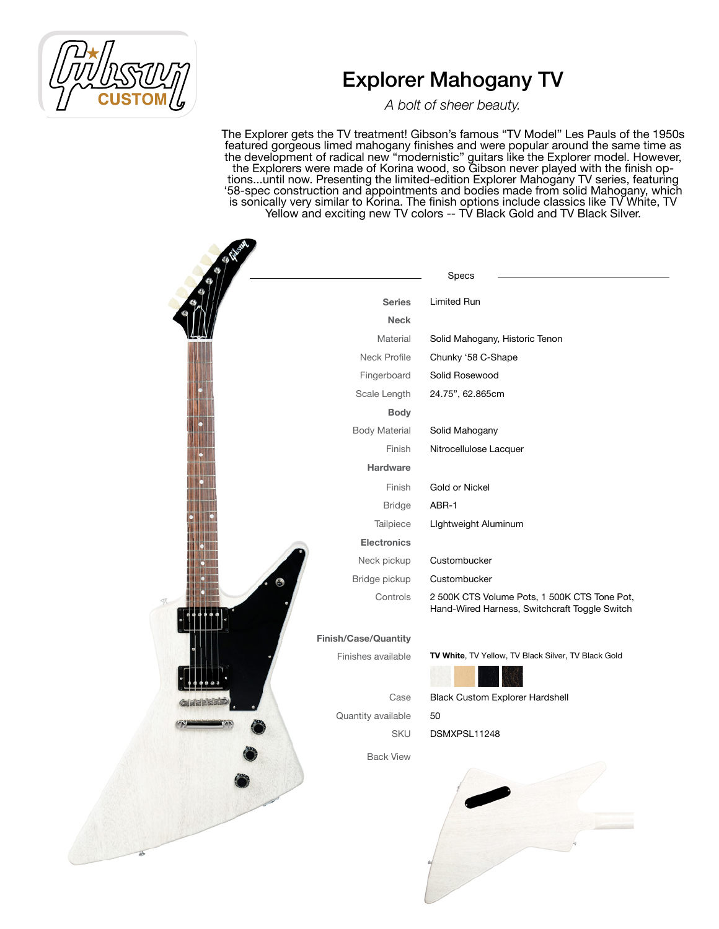*A bolt of sheer beauty.*

|                      | Specs                                                                                         |
|----------------------|-----------------------------------------------------------------------------------------------|
| <b>Series</b>        | <b>Limited Run</b>                                                                            |
| <b>Neck</b>          |                                                                                               |
| Material             | Solid Mahogany, Historic Tenon                                                                |
| Neck Profile         | Chunky '58 C-Shape                                                                            |
| Fingerboard          | Solid Rosewood                                                                                |
| Scale Length         | 24.75", 62.865cm                                                                              |
| <b>Body</b>          |                                                                                               |
| <b>Body Material</b> | Solid Mahogany                                                                                |
| Finish               | Nitrocellulose Lacquer                                                                        |
| <b>Hardware</b>      |                                                                                               |
| Finish               | Gold or Nickel                                                                                |
| <b>Bridge</b>        | ABR-1                                                                                         |
| Tailpiece            | Lightweight Aluminum                                                                          |
| <b>Electronics</b>   |                                                                                               |
| Neck pickup          | Custombucker                                                                                  |
| Bridge pickup        | Custombucker                                                                                  |
| Controls             | 2 500K CTS Volume Pots, 1 500K CTS Tone Pot,<br>Hand-Wired Harness, Switchcraft Toggle Switch |
| Finish/Case/Quantity |                                                                                               |
| Finishes available   | TV White, TV Yellow, TV Black Silver, TV Black Gold                                           |
|                      |                                                                                               |
| Case                 | <b>Black Custom Explorer Hardshell</b>                                                        |
| Quantity available   | 50                                                                                            |
| <b>SKU</b>           | DSMXPSL11248                                                                                  |
| <b>Back View</b>     |                                                                                               |
|                      |                                                                                               |